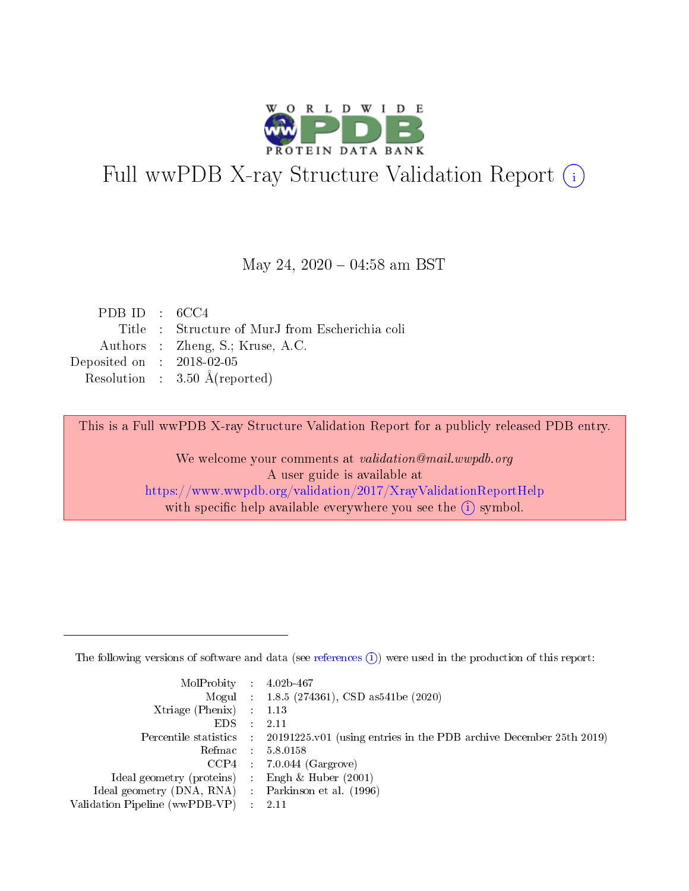

# Full wwPDB X-ray Structure Validation Report (i)

#### May 24,  $2020 - 04:58$  am BST

| PDB ID : $6CC4$             |                                                |
|-----------------------------|------------------------------------------------|
|                             | Title: Structure of MurJ from Escherichia coli |
|                             | Authors : Zheng, S.; Kruse, A.C.               |
| Deposited on : $2018-02-05$ |                                                |
|                             | Resolution : $3.50 \text{ Å}$ (reported)       |
|                             |                                                |

This is a Full wwPDB X-ray Structure Validation Report for a publicly released PDB entry.

We welcome your comments at validation@mail.wwpdb.org A user guide is available at <https://www.wwpdb.org/validation/2017/XrayValidationReportHelp> with specific help available everywhere you see the  $(i)$  symbol.

The following versions of software and data (see [references](https://www.wwpdb.org/validation/2017/XrayValidationReportHelp#references)  $(1)$ ) were used in the production of this report:

| MolProbity : $4.02b-467$                            |                                                                                              |
|-----------------------------------------------------|----------------------------------------------------------------------------------------------|
|                                                     | Mogul : 1.8.5 (274361), CSD as 541 be (2020)                                                 |
| Xtriage (Phenix) $: 1.13$                           |                                                                                              |
| $EDS$ :                                             | -2.11                                                                                        |
|                                                     | Percentile statistics : $20191225.v01$ (using entries in the PDB archive December 25th 2019) |
| Refmac : 5.8.0158                                   |                                                                                              |
|                                                     | $CCP4$ : 7.0.044 (Gargrove)                                                                  |
| Ideal geometry (proteins) :                         | Engh $\&$ Huber (2001)                                                                       |
| Ideal geometry (DNA, RNA) : Parkinson et al. (1996) |                                                                                              |
| Validation Pipeline (wwPDB-VP) : 2.11               |                                                                                              |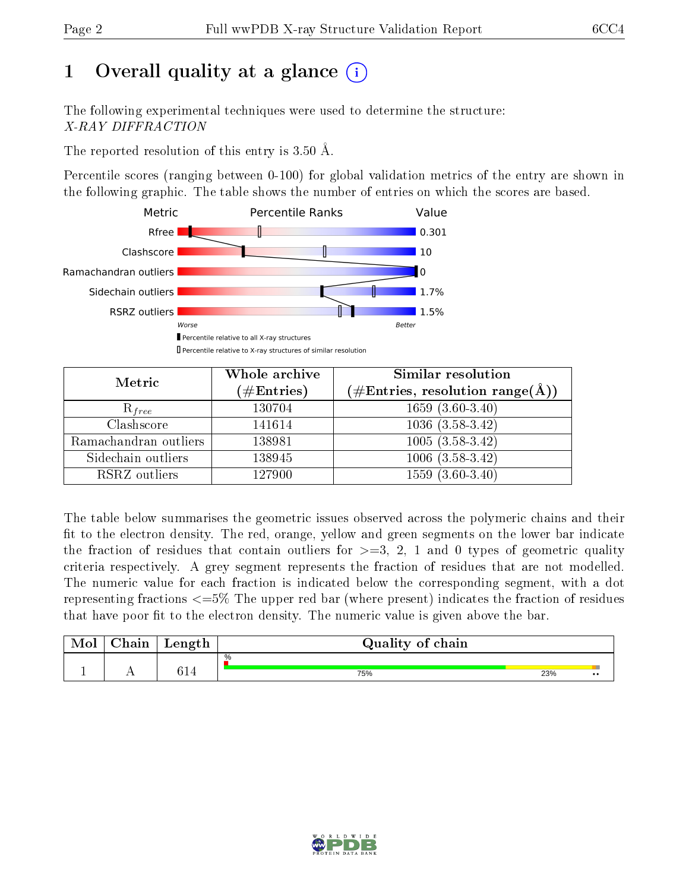## 1 [O](https://www.wwpdb.org/validation/2017/XrayValidationReportHelp#overall_quality)verall quality at a glance  $(i)$

The following experimental techniques were used to determine the structure: X-RAY DIFFRACTION

The reported resolution of this entry is  $3.50 \text{ Å}.$ 

Percentile scores (ranging between 0-100) for global validation metrics of the entry are shown in the following graphic. The table shows the number of entries on which the scores are based.



| Metric                | Whole archive<br>$(\#\mathrm{Entries})$ | Similar resolution<br>$(\#\text{Entries},\, \text{resolution}\; \text{range}(\textup{\AA}))$ |  |
|-----------------------|-----------------------------------------|----------------------------------------------------------------------------------------------|--|
| $R_{free}$            | 130704                                  | $1659(3.60-3.40)$                                                                            |  |
| Clashscore            | 141614                                  | $1036(3.58-3.42)$                                                                            |  |
| Ramachandran outliers | 138981                                  | $1005(3.58-3.42)$                                                                            |  |
| Sidechain outliers    | 138945                                  | $1006(3.58-3.42)$                                                                            |  |
| RSRZ outliers         | 127900                                  | $1559(3.60-3.40)$                                                                            |  |

The table below summarises the geometric issues observed across the polymeric chains and their fit to the electron density. The red, orange, yellow and green segments on the lower bar indicate the fraction of residues that contain outliers for  $>=3, 2, 1$  and 0 types of geometric quality criteria respectively. A grey segment represents the fraction of residues that are not modelled. The numeric value for each fraction is indicated below the corresponding segment, with a dot representing fractions  $\epsilon=5\%$  The upper red bar (where present) indicates the fraction of residues that have poor fit to the electron density. The numeric value is given above the bar.

| Mol | $\cap$ hain | Length     | Quality of chain |     |                  |
|-----|-------------|------------|------------------|-----|------------------|
|     |             |            | %                |     |                  |
|     |             | ር 1<br>ノエラ | 75%              | 23% | $\bullet\bullet$ |

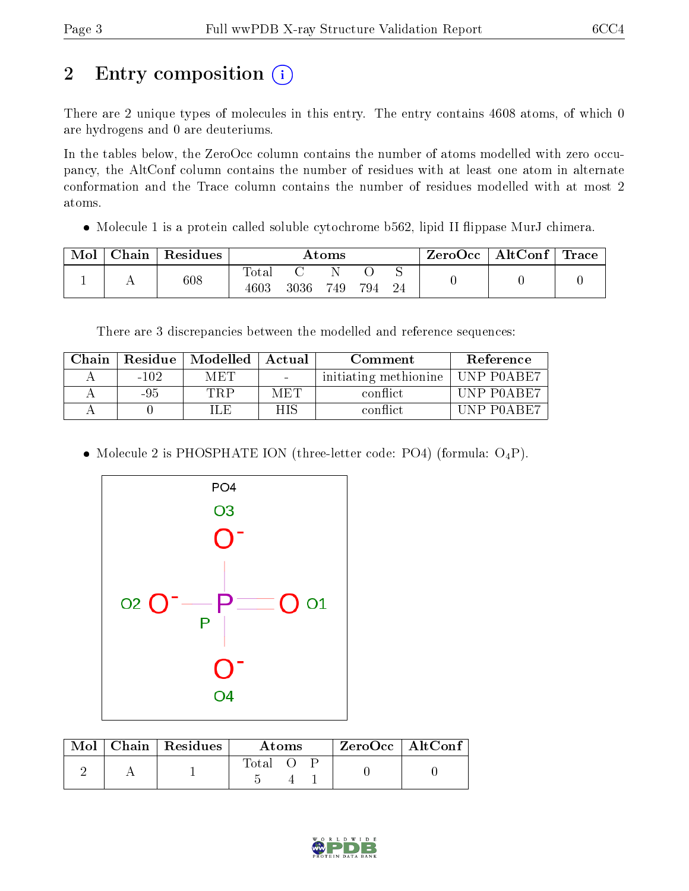## 2 Entry composition (i)

There are 2 unique types of molecules in this entry. The entry contains 4608 atoms, of which 0 are hydrogens and 0 are deuteriums.

In the tables below, the ZeroOcc column contains the number of atoms modelled with zero occupancy, the AltConf column contains the number of residues with at least one atom in alternate conformation and the Trace column contains the number of residues modelled with at most 2 atoms.

• Molecule 1 is a protein called soluble cytochrome b562, lipid II flippase MurJ chimera.

| Mol | $\perp$ Chain $\perp$ | Residues | Atoms               |      |     |     | $\text{ZeroOcc}$   AltConf   Trace |  |  |
|-----|-----------------------|----------|---------------------|------|-----|-----|------------------------------------|--|--|
|     |                       | 608      | $\rm Total$<br>4603 | 3036 | 749 | 794 | -24                                |  |  |

There are 3 discrepancies between the modelled and reference sequences:

| Chain |        | Residue   Modelled | Actual | Comment               | Reference          |
|-------|--------|--------------------|--------|-----------------------|--------------------|
|       | $-102$ | MET                | $\sim$ | initiating methionine | UNP P0ABE7         |
|       | -95    | TRP                | MET    | conflict              | UNP POABE7         |
|       |        | H.F                | НIS    | conflict.             | <b>IINP POAREZ</b> |

• Molecule 2 is PHOSPHATE ION (three-letter code: PO4) (formula:  $O_4P$ ).



| Mol | Chain   Residues ' | Atoms |  |  | $ZeroOcc$   AltConf |
|-----|--------------------|-------|--|--|---------------------|
|     |                    | Total |  |  |                     |

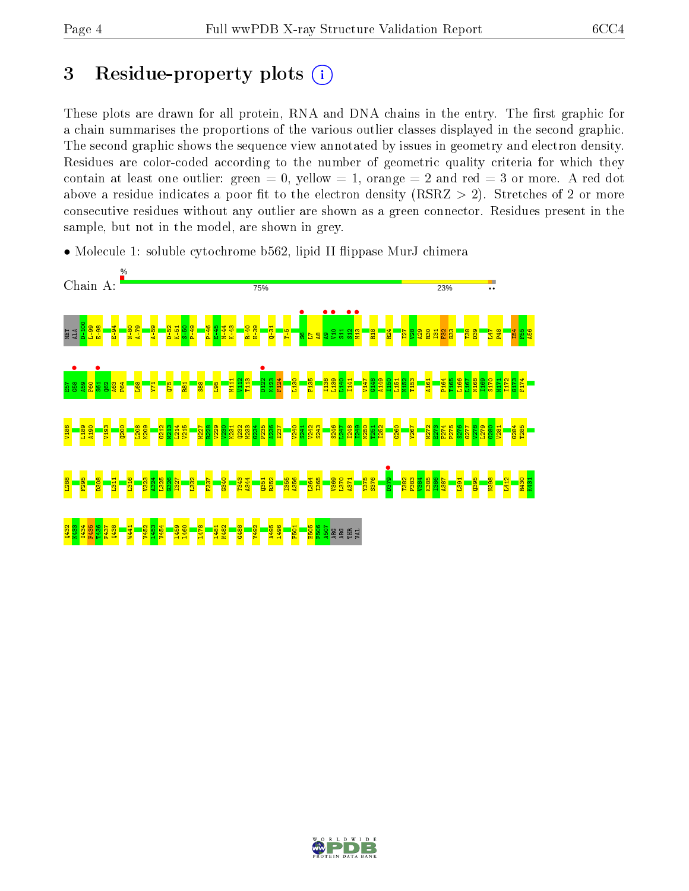## 3 Residue-property plots  $(i)$

These plots are drawn for all protein, RNA and DNA chains in the entry. The first graphic for a chain summarises the proportions of the various outlier classes displayed in the second graphic. The second graphic shows the sequence view annotated by issues in geometry and electron density. Residues are color-coded according to the number of geometric quality criteria for which they contain at least one outlier: green  $= 0$ , yellow  $= 1$ , orange  $= 2$  and red  $= 3$  or more. A red dot above a residue indicates a poor fit to the electron density (RSRZ  $> 2$ ). Stretches of 2 or more consecutive residues without any outlier are shown as a green connector. Residues present in the sample, but not in the model, are shown in grey.

• Molecule 1: soluble cytochrome b562, lipid II flippase MurJ chimera



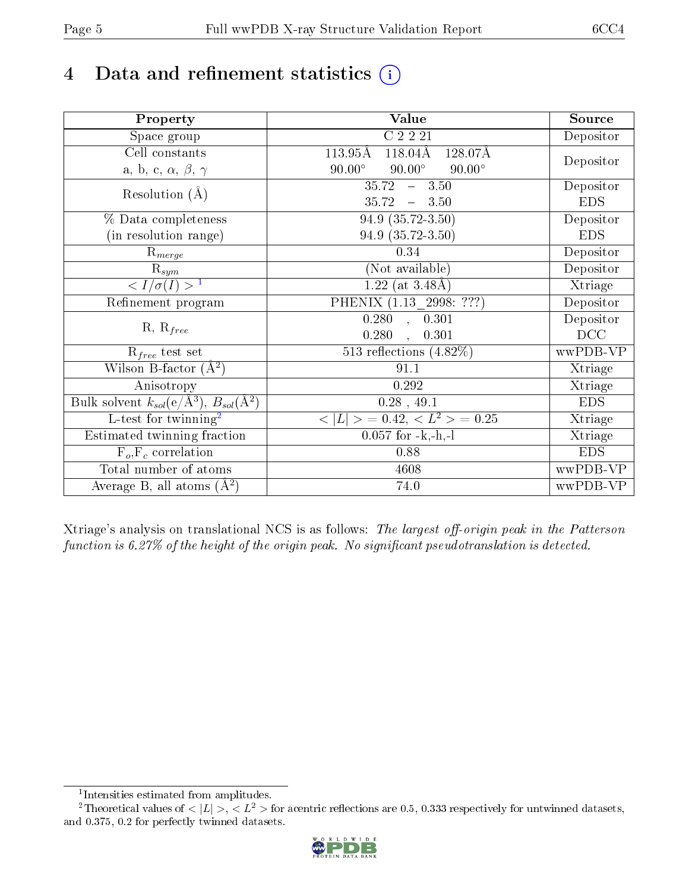## 4 Data and refinement statistics  $(i)$

| Property                                                             | Value                                               | Source     |
|----------------------------------------------------------------------|-----------------------------------------------------|------------|
| $\overline{S}$ pace group                                            | C2221                                               | Depositor  |
| Cell constants                                                       | $118.04\text{\AA}$<br>$113.95\text{\AA}$<br>128.07Å |            |
| a, b, c, $\alpha$ , $\beta$ , $\gamma$                               | $90.00^\circ$<br>$90.00^\circ$<br>$90.00^\circ$     | Depositor  |
| Resolution $(A)$                                                     | 35.72<br>$-3.50$                                    | Depositor  |
|                                                                      | 35.72<br>$-3.50$                                    | <b>EDS</b> |
| % Data completeness                                                  | 94.9 (35.72-3.50)                                   | Depositor  |
| (in resolution range)                                                | 94.9 (35.72-3.50)                                   | <b>EDS</b> |
| $R_{merge}$                                                          | 0.34                                                | Depositor  |
| $\mathrm{R}_{sym}$                                                   | (Not available)                                     | Depositor  |
| $\langle I/\sigma(I) \rangle$ <sup>1</sup>                           | 1.22 (at $3.48\text{\AA}$ )                         | Xtriage    |
| Refinement program                                                   | PHENIX (1.13 _ 2998: ???)                           | Depositor  |
|                                                                      | 0.280, 0.301                                        | Depositor  |
| $R, R_{free}$                                                        | 0.280<br>0.301<br>$\mathbf{r}$                      | DCC        |
| $\mathcal{R}_{free}$ test set                                        | 513 reflections $(4.82\%)$                          | wwPDB-VP   |
| Wilson B-factor $(A^2)$                                              | 91.1                                                | Xtriage    |
| Anisotropy                                                           | 0.292                                               | Xtriage    |
| Bulk solvent $k_{sol}(e/\mathring{A}^3)$ , $B_{sol}(\mathring{A}^2)$ | $0.28$ , 49.1                                       | <b>EDS</b> |
| L-test for twinning <sup>2</sup>                                     | $< L >$ = 0.42, $< L2$ = 0.25                       | Xtriage    |
| Estimated twinning fraction                                          | $0.057$ for $-k,-h,-l$                              | Xtriage    |
| $F_o, F_c$ correlation                                               | 0.88                                                | <b>EDS</b> |
| Total number of atoms                                                | 4608                                                | wwPDB-VP   |
| Average B, all atoms $(A^2)$                                         | 74.0                                                | wwPDB-VP   |

Xtriage's analysis on translational NCS is as follows: The largest off-origin peak in the Patterson function is  $6.27\%$  of the height of the origin peak. No significant pseudotranslation is detected.

<sup>&</sup>lt;sup>2</sup>Theoretical values of  $\langle |L| \rangle$ ,  $\langle L^2 \rangle$  for acentric reflections are 0.5, 0.333 respectively for untwinned datasets, and 0.375, 0.2 for perfectly twinned datasets.



<span id="page-4-1"></span><span id="page-4-0"></span><sup>1</sup> Intensities estimated from amplitudes.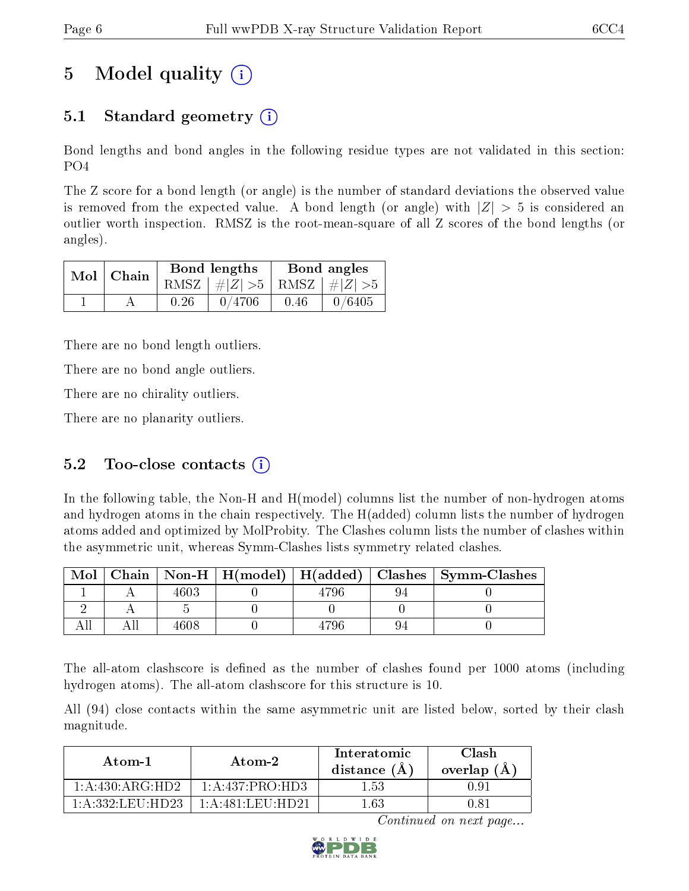## 5 Model quality  $(i)$

### 5.1 Standard geometry (i)

Bond lengths and bond angles in the following residue types are not validated in this section: PO4

The Z score for a bond length (or angle) is the number of standard deviations the observed value is removed from the expected value. A bond length (or angle) with  $|Z| > 5$  is considered an outlier worth inspection. RMSZ is the root-mean-square of all Z scores of the bond lengths (or angles).

|  | $Mol$   Chain |      | Bond lengths                    | Bond angles |        |  |
|--|---------------|------|---------------------------------|-------------|--------|--|
|  |               |      | RMSZ $ #Z  > 5$ RMSZ $ #Z  > 5$ |             |        |  |
|  |               | 0.26 | 0/4706                          | 0.46        | 0/6405 |  |

There are no bond length outliers.

There are no bond angle outliers.

There are no chirality outliers.

There are no planarity outliers.

### 5.2 Too-close contacts  $(i)$

In the following table, the Non-H and H(model) columns list the number of non-hydrogen atoms and hydrogen atoms in the chain respectively. The H(added) column lists the number of hydrogen atoms added and optimized by MolProbity. The Clashes column lists the number of clashes within the asymmetric unit, whereas Symm-Clashes lists symmetry related clashes.

| Mol |      |  | Chain   Non-H   H(model)   H(added)   Clashes   Symm-Clashes |
|-----|------|--|--------------------------------------------------------------|
|     | 4603 |  |                                                              |
|     |      |  |                                                              |
|     | 4608 |  |                                                              |

The all-atom clashscore is defined as the number of clashes found per 1000 atoms (including hydrogen atoms). The all-atom clashscore for this structure is 10.

All (94) close contacts within the same asymmetric unit are listed below, sorted by their clash magnitude.

| Atom-1            | Atom-2                                                | Interatomic<br>distance (A) | Clash<br>overlap $(A)$ |
|-------------------|-------------------------------------------------------|-----------------------------|------------------------|
| 1: A:430: ARG:HD2 | 1: A: 437: PRO: HD3                                   | 1.53                        | 0.91                   |
| 1 A 332 LEU HD23  | $1 \cdot A \cdot 481 \cdot I$ . EI $1 \cdot H$ D $21$ | 1 63                        | 1.81                   |

Continued on next page...

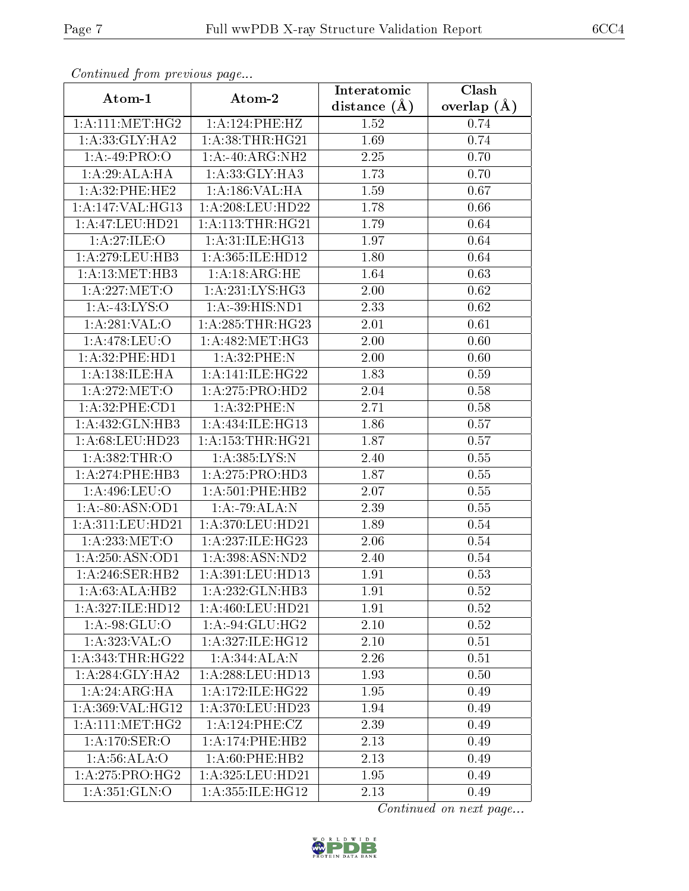| Continuea from previous page |                                                    | Interatomic    | Clash         |
|------------------------------|----------------------------------------------------|----------------|---------------|
| Atom-1                       | Atom-2                                             | distance $(A)$ | overlap $(A)$ |
| 1: A: 111:MET:HG2            | 1:A:124:PHE:HZ                                     | 1.52           | 0.74          |
| 1: A:33: GLY: HA2            | 1: A:38:THR:HG21                                   | 1.69           | 0.74          |
| 1:A:49:PRO:O                 | 1:A:40:ARG:NH2                                     | 2.25           | 0.70          |
| 1:A:29:ALA:HA                | 1:A:33:GLY:HA3                                     | 1.73           | 0.70          |
| 1:A:32:PHE:HE2               | 1: A: 186: VAL: HA                                 | 1.59           | 0.67          |
| 1:A:147:VAL:HG13             | $1:\overline{A}:208:\text{LEU}:HD22$               | 1.78           | 0.66          |
| 1:A:47:LEU:HD21              | 1:A:113:THR:HG21                                   | 1.79           | 0.64          |
| 1: A:27: ILE: O              | $1:\overline{A}:31:\overline{ILE}:\overline{H}G13$ | 1.97           | 0.64          |
| 1: A:279:LEU:HB3             | 1: A: 365: ILE: HD12                               | 1.80           | 0.64          |
| 1: A:13:MET:HB3              | 1: A: 18: ARG: HE                                  | 1.64           | 0.63          |
| 1: A:227: MET:O              | 1:A:231:LYS:HG3                                    | 2.00           | 0.62          |
| 1:A:43:LYS:O                 | 1:A:39:HIS:ND1                                     | 2.33           | 0.62          |
| 1:A:281:VAL:0                | 1: A:285:THR:HG23                                  | 2.01           | 0.61          |
| 1: A:478: LEU:O              | 1: A:482:MET:HG3                                   | 2.00           | 0.60          |
| 1: A:32: PHE: HD1            | 1:A:32:PHE:N                                       | 2.00           | 0.60          |
| 1: A: 138: ILE: HA           | 1:A:141:ILE:HG22                                   | 1.83           | 0.59          |
| 1: A:272:MET:O               | 1:A:275:PRO:HD2                                    | 2.04           | 0.58          |
| 1: A:32: PHE:CD1             | 1: A:32:PHE:N                                      | 2.71           | 0.58          |
| 1:A:432:GLN:HB3              | 1:A:434:ILE:HG13                                   | 1.86           | 0.57          |
| 1: A:68:LEU:HD23             | 1: A: 153: THR: HG21                               | 1.87           | 0.57          |
| 1: A: 382: THR:O             | 1:A:385:LYS:N                                      | 2.40           | 0.55          |
| 1: A:274:PHE:HB3             | 1: A:275: PRO:HD3                                  | 1.87           | 0.55          |
| 1:A:496:LEU:O                | 1:A:501:PHE:HB2                                    | 2.07           | 0.55          |
| 1:A:80:ASN:OD1               | 1:A:79:ALA:N                                       | 2.39           | 0.55          |
| 1: A:311: LEU: HD21          | 1:A:370:LEU:HD21                                   | 1.89           | 0.54          |
| 1: A:233:MET:O               | 1:A:237:ILE:HG23                                   | 2.06           | 0.54          |
| 1: A:250: ASN:OD1            | 1:A:398:ASN:ND2                                    | 2.40           | 0.54          |
| 1:A:246:SER:HB2              | $1:$ A:391:LEU:HD13                                | 1.91           | 0.53          |
| 1:A:63:ALA:HB2               | 1: A: 232: GLN: HB3                                | 1.91           | 0.52          |
| 1:A:327:ILE:HD12             | 1: A:460:LEU:HD21                                  | 1.91           | 0.52          |
| 1:A:98:GLU:O                 | 1:A:94:GLU:HG2                                     | 2.10           | 0.52          |
| 1: A: 323: VAL: O            | 1:A:327:ILE:HG12                                   | 2.10           | 0.51          |
| 1: A: 343: THR: HG22         | 1:A:344:ALA:N                                      | 2.26           | 0.51          |
| 1: A:284: GLY:HA2            | 1:A:288:LEU:HD13                                   | 1.93           | 0.50          |
| 1:A:24:ARG:HA                | 1: A:172: ILE: HG22                                | 1.95           | 0.49          |
| 1: A: 369: VAL: HG12         | 1:A:370:LEU:HD23                                   | 1.94           | 0.49          |
| 1: A: 111: MET: HG2          | 1:A:124:PHE:CZ                                     | 2.39           | 0.49          |
| 1:A:170:SER:O                | 1: A:174:PHE:HB2                                   | 2.13           | 0.49          |
| 1: A:56: ALA:O               | 1: A:60:PHE:HB2                                    | 2.13           | 0.49          |
| $1:A:275:P\overline{RO:HG2}$ | 1:A:325:LEU:HD21                                   | 1.95           | 0.49          |
| 1: A:351: GLN:O              | 1:A:355:ILE:HG12                                   | 2.13           | 0.49          |

Continued from previous page.

Continued on next page...

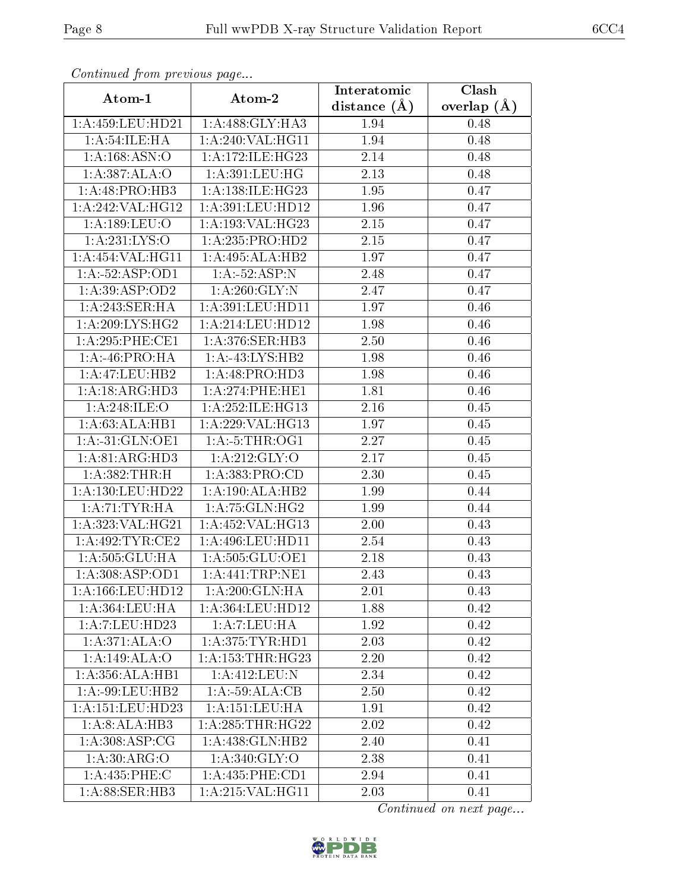| Continuea from previous page |                                      | Interatomic    | Clash           |
|------------------------------|--------------------------------------|----------------|-----------------|
| Atom-1                       | Atom-2                               | distance $(A)$ | overlap $(\AA)$ |
| 1:A:459:LEU:HD21             | 1:A:488:GLY:HA3                      | 1.94           | 0.48            |
| 1: A:54:ILE:HA               | $1:A:240:\overline{VAL}:HG11$        | 1.94           | 0.48            |
| 1:A:168:ASN:O                | 1: A:172: ILE: HG23                  | 2.14           | 0.48            |
| 1:A:387:ALA:O                | 1:A:391:LEU:HG                       | 2.13           | 0.48            |
| $1:A:48:P\overline{RO:HB3}$  | 1:A:138:ILE:HG23                     | 1.95           | 0.47            |
| 1:A:242:VAL:HG12             | 1:A:391:LEU:HD12                     | 1.96           | 0.47            |
| 1: A: 189: LEU: O            | 1: A: 193: VAL: HG23                 | 2.15           | 0.47            |
| 1: A: 231: LYS:O             | 1:A:235:PRO:HD2                      | 2.15           | 0.47            |
| 1:A:454:VAL:HG11             | 1:A:495:ALA:HB2                      | 1.97           | 0.47            |
| 1:A:52:ASP:OD1               | 1:A:52:ASP:N                         | 2.48           | 0.47            |
| 1:A:39:ASP:OD2               | 1: A:260: GLY:N                      | 2.47           | 0.47            |
| 1:A:243:SER:HA               | 1:A:391:LEU:HD11                     | 1.97           | 0.46            |
| 1: A:209: LYS: HG2           | $1:$ A:214:LEU:HD12                  | 1.98           | 0.46            |
| 1: A:295:PHE:CE1             | 1: A:376: SER:HB3                    | 2.50           | 0.46            |
| 1:A:46:PRO:HA                | 1:A:43:LYS:HB2                       | 1.98           | 0.46            |
| 1:A:47:LEU:HB2               | 1:A:48:PRO:HD3                       | 1.98           | 0.46            |
| 1:A:18:ARG:HD3               | 1:A:274:PHE:HE1                      | 1.81           | 0.46            |
| 1: A:248: ILE: O             | 1: A:252: ILE: HG13                  | 2.16           | 0.45            |
| $1:A:\overline{63:ALA:HB1}$  | 1:A:229:VAL:HG13                     | 1.97           | 0.45            |
| $1:A:-31:GLN:OE1$            | $1:A:-5:THR:OG1$                     | 2.27           | 0.45            |
| 1: A:81: ARG:HD3             | 1: A:212: GLY:O                      | 2.17           | 0.45            |
| 1:A:382:THR:H                | 1: A: 383: PRO:CD                    | 2.30           | 0.45            |
| 1:A:130:LEU:HD22             | 1:A:190:ALA:HB2                      | 1.99           | 0.44            |
| 1:A:71:TYR:HA                | 1:A:75:GLN:HG2                       | 1.99           | 0.44            |
| 1:A:323:VAL:HG21             | 1:A:452:VAL:HG13                     | $2.00\,$       | 0.43            |
| $1:A:\overline{492:TYR:CE2}$ | 1: A:496: LEU: HD11                  | 2.54           | 0.43            |
| 1:A:505:GLU:HA               | 1:A:505:GLU:OE1                      | 2.18           | 0.43            |
| 1:A:308:ASP:OD1              | $1:$ A:441:TRP:NE1                   | 2.43           | 0.43            |
| 1: A: 166: LEU: HD12         | 1: A:200: GLN: HA                    | 2.01           | 0.43            |
| 1: A: 364: LEU: HA           | 1: A: 364: LEU: HD12                 | 1.88           | 0.42            |
| 1:A:7:LEU:HD23               | 1: A: 7: LEU: HA                     | 1.92           | 0.42            |
| 1:A:371:ALA:O                | 1: A:375: TYR: HD1                   | 2.03           | 0.42            |
| 1:A:149:ALA:O                | 1: A: 153: THR: HG23                 | 2.20           | 0.42            |
| 1:A:356:ALA:HB1              | 1: A:412: LEU: N                     | 2.34           | 0.42            |
| $1:A:-99:LEU:HB2$            | 1:A:59:ALA:CB                        | 2.50           | 0.42            |
| 1:A:151:LEU:HD23             | 1: A:151:LEU:HA                      | 1.91           | 0.42            |
| 1:A:8:ALA:HB3                | 1: A:285:THR:HG22                    | 2.02           | 0.42            |
| 1: A:308: ASP:CG             | 1:A:438:GLN:HB2                      | 2.40           | 0.41            |
| 1: A:30: ARG:O               | 1: A:340: GLY:O                      | 2.38           | 0.41            |
| 1:A:435:PHE:C                | 1: A:435:PHE:CD1                     | 2.94           | 0.41            |
| 1:A:88:SER:HB3               | $1:A:215:\overline{\text{VAL}:HG11}$ | 2.03           | 0.41            |

Continued from previous page.

Continued on next page...

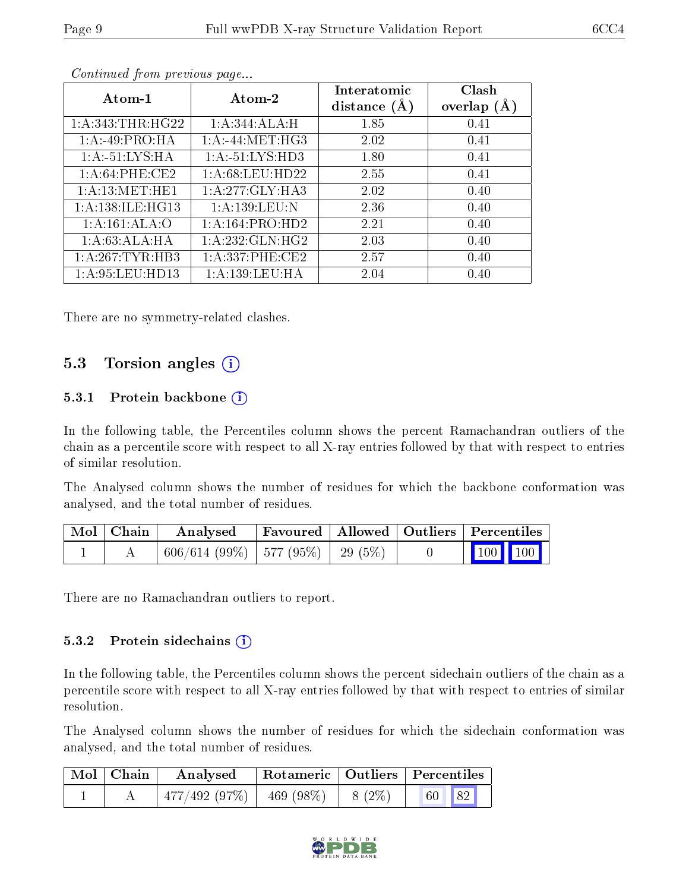| Atom-1              | Atom-2               | Interatomic<br>distance $(A)$ | Clash<br>overlap $(A)$ |
|---------------------|----------------------|-------------------------------|------------------------|
| 1: A:343:THR:HG22   | 1:A:344:ALA:H        | 1.85                          | 0.41                   |
| 1:A:49:PRO:HA       | $1: A: -44: MET:HG3$ | 2.02                          | 0.41                   |
| 1:A:51:LYS:HA       | 1:A:51:LYS:HD3       | 1.80                          | 0.41                   |
| 1: A:64:PHE:CE2     | 1: A:68:LEU:HD22     | 2.55                          | 0.41                   |
| 1: A:13:MET:HE1     | 1:A:277:GLY:HA3      | 2.02                          | 0.40                   |
| 1: A:138: ILE: HG13 | 1: A: 139: LEU: N    | 2.36                          | 0.40                   |
| 1:A:161:ALA:O       | 1:A:164:PRO:HD2      | 2.21                          | 0.40                   |
| 1:A:63:ALA:HA       | 1:A:232:GLN:HG2      | 2.03                          | 0.40                   |
| 1:A:267:TYR:HB3     | 1: A:337:PHE:CE2     | 2.57                          | 0.40                   |
| 1: A:95:LEU:HD13    | 1:A:139:LEU:HA       | 2.04                          | 0.40                   |

Continued from previous page...

There are no symmetry-related clashes.

### 5.3 Torsion angles (i)

#### 5.3.1 Protein backbone  $(i)$

In the following table, the Percentiles column shows the percent Ramachandran outliers of the chain as a percentile score with respect to all X-ray entries followed by that with respect to entries of similar resolution.

The Analysed column shows the number of residues for which the backbone conformation was analysed, and the total number of residues.

| Mol   Chain | $\boldsymbol{\mathrm{Analysed}}$         |  | Favoured   Allowed   Outliers   Percentiles                        |  |
|-------------|------------------------------------------|--|--------------------------------------------------------------------|--|
|             | $606/614$ (99\%)   577 (95\%)   29 (5\%) |  | $\begin{array}{ c c c c c }\n\hline\n & 100 & 100 & \n\end{array}$ |  |

There are no Ramachandran outliers to report.

#### 5.3.2 Protein sidechains (i)

In the following table, the Percentiles column shows the percent sidechain outliers of the chain as a percentile score with respect to all X-ray entries followed by that with respect to entries of similar resolution.

The Analysed column shows the number of residues for which the sidechain conformation was analysed, and the total number of residues.

| $\mid$ Mol $\mid$ Chain | Analysed                                |  | Rotameric   Outliers   Percentiles |  |
|-------------------------|-----------------------------------------|--|------------------------------------|--|
|                         | $477/492$ (97\%)   469 (98\%)   8 (2\%) |  | 60 82                              |  |

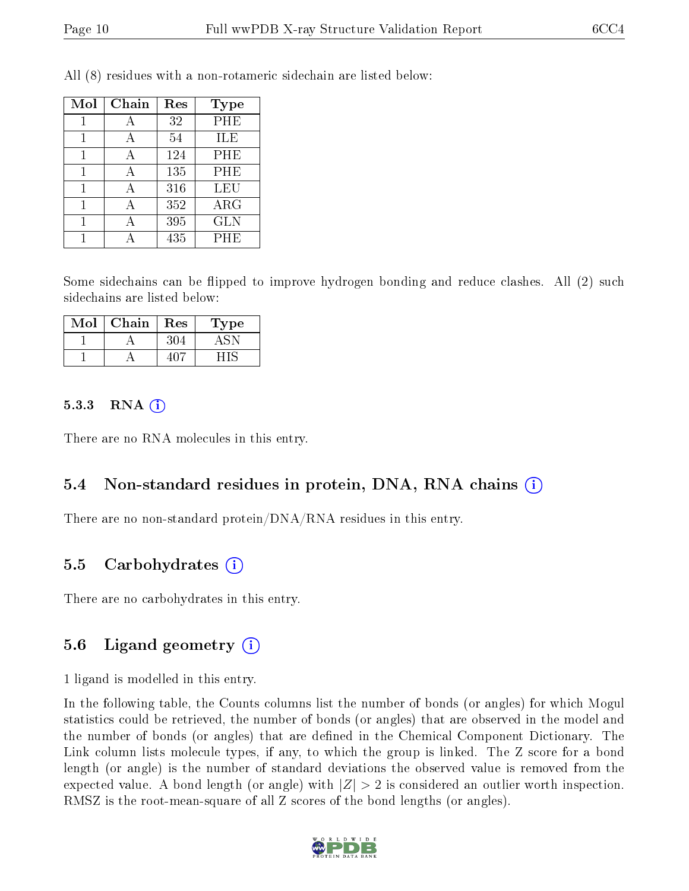| Mol | Chain | Res | <b>Type</b> |
|-----|-------|-----|-------------|
|     |       | 32  | PHE         |
|     |       | 54  | ILE         |
|     |       | 124 | PHE         |
| 1   | А     | 135 | PHE         |
|     |       | 316 | LEU         |
|     |       | 352 | $\rm{ARG}$  |
|     |       | 395 | <b>GLN</b>  |
|     |       | 435 | PHE         |

All (8) residues with a non-rotameric sidechain are listed below:

Some sidechains can be flipped to improve hydrogen bonding and reduce clashes. All (2) such sidechains are listed below:

| Mol | ${\bf Chain}$ | <b>Res</b> | 1'ype |
|-----|---------------|------------|-------|
|     |               |            |       |
|     |               |            |       |

#### $5.3.3$  RNA  $(i)$

There are no RNA molecules in this entry.

#### 5.4 Non-standard residues in protein, DNA, RNA chains (i)

There are no non-standard protein/DNA/RNA residues in this entry.

#### 5.5 Carbohydrates  $(i)$

There are no carbohydrates in this entry.

#### 5.6 Ligand geometry (i)

1 ligand is modelled in this entry.

In the following table, the Counts columns list the number of bonds (or angles) for which Mogul statistics could be retrieved, the number of bonds (or angles) that are observed in the model and the number of bonds (or angles) that are dened in the Chemical Component Dictionary. The Link column lists molecule types, if any, to which the group is linked. The Z score for a bond length (or angle) is the number of standard deviations the observed value is removed from the expected value. A bond length (or angle) with  $|Z| > 2$  is considered an outlier worth inspection. RMSZ is the root-mean-square of all Z scores of the bond lengths (or angles).

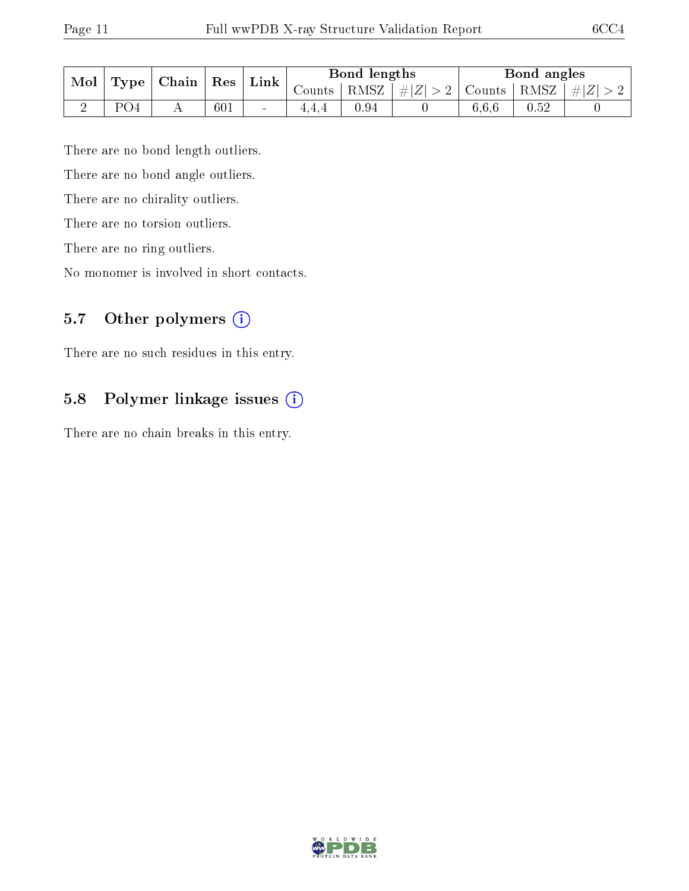| Mol<br>Type <sub>1</sub> |     | $\mid$ Chain | $^{\circ}$ Res | Link   |          | Bond lengths |                               |       | Bond angles    |  |
|--------------------------|-----|--------------|----------------|--------|----------|--------------|-------------------------------|-------|----------------|--|
|                          |     |              |                |        | Counts I |              | $ RMSZ $ $\# Z  > 2$   Counts |       | RMSZ   $\# Z $ |  |
|                          | PO4 |              | 601            | $\sim$ | 4.4.4    | 0.94         |                               | 6,6,6 | 0.52           |  |

There are no bond length outliers.

There are no bond angle outliers.

There are no chirality outliers.

There are no torsion outliers.

There are no ring outliers.

No monomer is involved in short contacts.

### 5.7 [O](https://www.wwpdb.org/validation/2017/XrayValidationReportHelp#nonstandard_residues_and_ligands)ther polymers (i)

There are no such residues in this entry.

### 5.8 Polymer linkage issues (i)

There are no chain breaks in this entry.

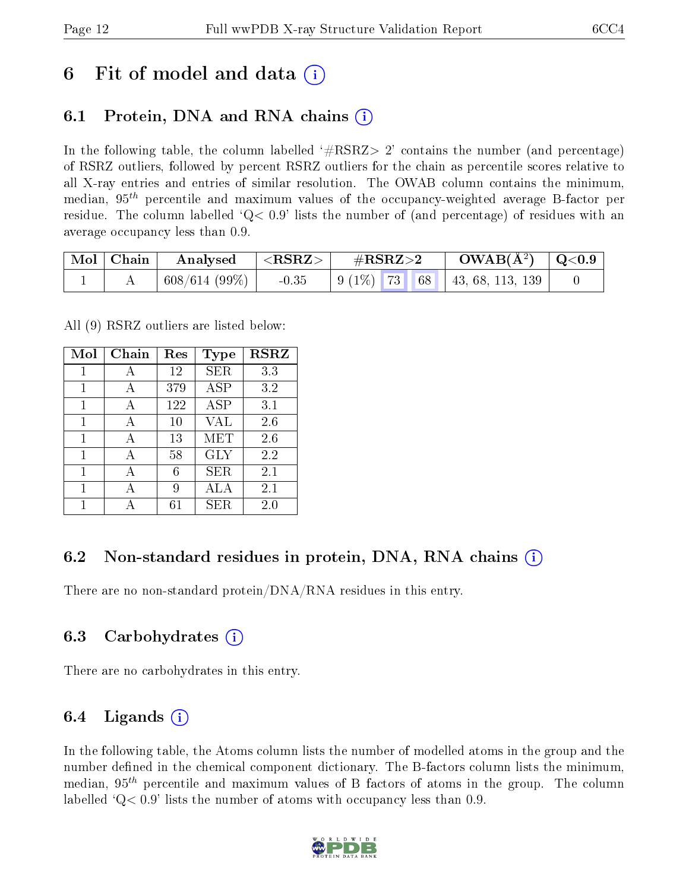## 6 Fit of model and data  $\left( \cdot \right)$

### 6.1 Protein, DNA and RNA chains (i)

In the following table, the column labelled  $#RSRZ>2'$  contains the number (and percentage) of RSRZ outliers, followed by percent RSRZ outliers for the chain as percentile scores relative to all X-ray entries and entries of similar resolution. The OWAB column contains the minimum, median,  $95<sup>th</sup>$  percentile and maximum values of the occupancy-weighted average B-factor per residue. The column labelled  $Q< 0.9$  lists the number of (and percentage) of residues with an average occupancy less than 0.9.

| $\mid$ Mol $\mid$ Chain $\mid$ | Analysed                             | $\mathsf{I} < \mathbf{RSRZ} > \mathsf{I}$ | $\rm \#RSRZ{>}2$                                       | $\rm{OWAB}(\rm{\AA}^2)$   Q<0.9 |  |
|--------------------------------|--------------------------------------|-------------------------------------------|--------------------------------------------------------|---------------------------------|--|
|                                | $\mid 608/614(99\%) \mid -0.35 \mid$ |                                           | $\vert$ 9 (1\%) 73 68 $\vert$ 43, 68, 113, 139 $\vert$ |                                 |  |

All (9) RSRZ outliers are listed below:

| Mol | Chain | $\operatorname{Res}% \left( \mathcal{N}\right) \equiv\operatorname{Res}(\mathcal{N}_{0})\cap\mathcal{N}_{1}$ | <b>Type</b>  | <b>RSRZ</b> |
|-----|-------|--------------------------------------------------------------------------------------------------------------|--------------|-------------|
| 1   | А     | 12                                                                                                           | <b>SER</b>   | 3.3         |
| 1   | A     | 379                                                                                                          | ASP          | 3.2         |
| 1   | А     | 122                                                                                                          | $_{\rm ASP}$ | 3.1         |
| 1   | А     | 10                                                                                                           | VAL          | 2.6         |
| 1   | A     | 13                                                                                                           | MET          | 2.6         |
| 1   | А     | 58                                                                                                           | <b>GLY</b>   | 2.2         |
| 1   |       | 6                                                                                                            | SER          | 2.1         |
| 1   | А     | 9                                                                                                            | ALA          | 2.1         |
|     |       | 61                                                                                                           | <b>SER</b>   | 2.0         |

### 6.2 Non-standard residues in protein, DNA, RNA chains  $(i)$

There are no non-standard protein/DNA/RNA residues in this entry.

#### 6.3 Carbohydrates (i)

There are no carbohydrates in this entry.

#### 6.4 Ligands  $(i)$

In the following table, the Atoms column lists the number of modelled atoms in the group and the number defined in the chemical component dictionary. The B-factors column lists the minimum, median,  $95<sup>th</sup>$  percentile and maximum values of B factors of atoms in the group. The column labelled  $Q< 0.9$  lists the number of atoms with occupancy less than 0.9.